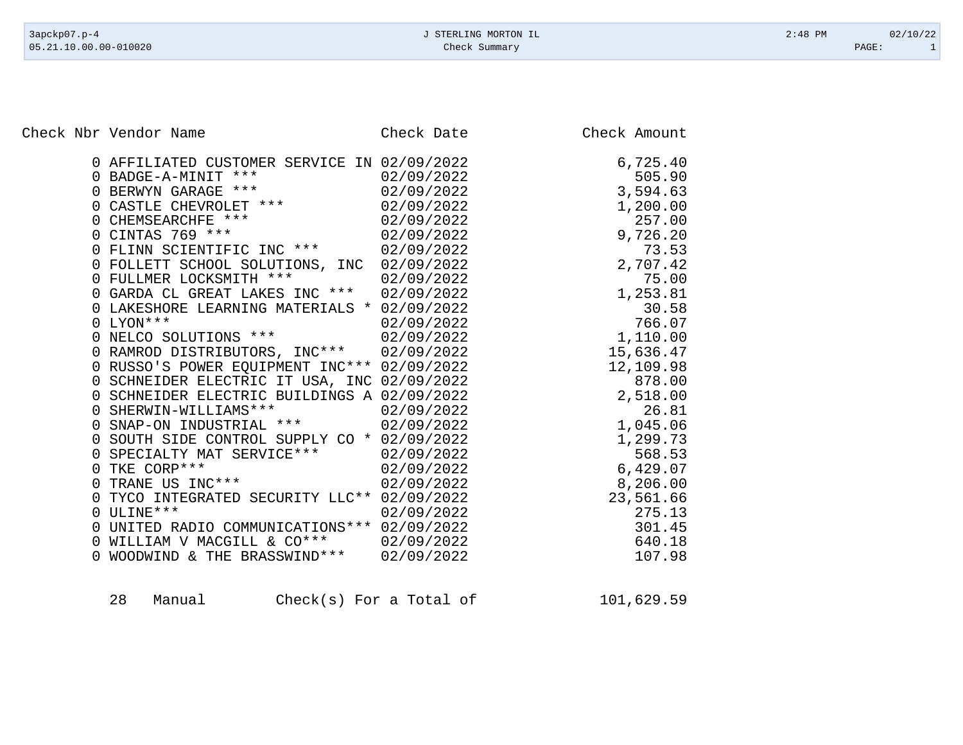Check Nbr Vendor Name Check Date Check Date Check Amount

| 0 AFFILIATED CUSTOMER SERVICE IN 02/09/2022<br>$***$<br>0 BADGE-A-MINIT<br>0 BERWYN GARAGE ***<br>CASTLE CHEVROLET ***<br>$\Omega$<br>0 CHEMSEARCHFE ***<br>CINTAS 769 ***<br>FLINN SCIENTIFIC INC ***<br>0<br>0 FOLLETT SCHOOL SOLUTIONS, INC<br>FULLMER LOCKSMITH ***<br>$\Omega$<br>0 GARDA CL GREAT LAKES INC ***<br>LAKESHORE LEARNING MATERIALS * 02/09/2022<br>0 LYON ***<br>NELCO SOLUTIONS *** | 02/09/2022<br>02/09/2022<br>02/09/2022<br>02/09/2022<br>02/09/2022<br>02/09/2022<br>02/09/2022<br>02/09/2022<br>02/09/2022<br>02/09/2022<br>02/09/2022 | 6,725.40<br>505.90<br>3,594.63<br>1,200.00<br>257.00<br>9,726.20<br>73.53<br>2,707.42<br>75.00<br>1,253.81<br>30.58<br>766.07<br>1,110.00 |
|---------------------------------------------------------------------------------------------------------------------------------------------------------------------------------------------------------------------------------------------------------------------------------------------------------------------------------------------------------------------------------------------------------|--------------------------------------------------------------------------------------------------------------------------------------------------------|-------------------------------------------------------------------------------------------------------------------------------------------|
|                                                                                                                                                                                                                                                                                                                                                                                                         |                                                                                                                                                        |                                                                                                                                           |
| 0 RAMROD DISTRIBUTORS, INC***<br>0 RUSSO'S POWER EQUIPMENT INC*** 02/09/2022                                                                                                                                                                                                                                                                                                                            | 02/09/2022                                                                                                                                             | 15,636.47<br>12,109.98                                                                                                                    |
| 0 SCHNEIDER ELECTRIC IT USA, INC 02/09/2022                                                                                                                                                                                                                                                                                                                                                             |                                                                                                                                                        | 878.00                                                                                                                                    |
| 0 SCHNEIDER ELECTRIC BUILDINGS A 02/09/2022                                                                                                                                                                                                                                                                                                                                                             |                                                                                                                                                        | 2,518.00                                                                                                                                  |
| 0 SHERWIN-WILLIAMS ***                                                                                                                                                                                                                                                                                                                                                                                  | 02/09/2022                                                                                                                                             | 26.81                                                                                                                                     |
| 0 SNAP-ON INDUSTRIAL ***                                                                                                                                                                                                                                                                                                                                                                                | 02/09/2022                                                                                                                                             | 1,045.06                                                                                                                                  |
| 0 SOUTH SIDE CONTROL SUPPLY CO * 02/09/2022                                                                                                                                                                                                                                                                                                                                                             |                                                                                                                                                        | 1,299.73                                                                                                                                  |
| SPECIALTY MAT SERVICE ***<br>0                                                                                                                                                                                                                                                                                                                                                                          | 02/09/2022                                                                                                                                             | 568.53                                                                                                                                    |
| TKE CORP***<br>$\Omega$                                                                                                                                                                                                                                                                                                                                                                                 | 02/09/2022                                                                                                                                             | 6,429.07                                                                                                                                  |
| TRANE US INC ***<br>0                                                                                                                                                                                                                                                                                                                                                                                   | 02/09/2022                                                                                                                                             | 8,206.00                                                                                                                                  |
| TYCO INTEGRATED SECURITY LLC** 02/09/2022                                                                                                                                                                                                                                                                                                                                                               |                                                                                                                                                        | 23,561.66                                                                                                                                 |
| ULINE ***<br>0                                                                                                                                                                                                                                                                                                                                                                                          | 02/09/2022                                                                                                                                             | 275.13                                                                                                                                    |
| UNITED RADIO COMMUNICATIONS *** 02/09/2022                                                                                                                                                                                                                                                                                                                                                              |                                                                                                                                                        | 301.45                                                                                                                                    |
| 0 WILLIAM V MACGILL & CO***                                                                                                                                                                                                                                                                                                                                                                             | 02/09/2022                                                                                                                                             | 640.18<br>107.98                                                                                                                          |
| 0 WOODWIND & THE BRASSWIND ***                                                                                                                                                                                                                                                                                                                                                                          | 02/09/2022                                                                                                                                             |                                                                                                                                           |

| 28 | Manual | $Check(s)$ For a Total of | 101,629.59 |
|----|--------|---------------------------|------------|
|----|--------|---------------------------|------------|